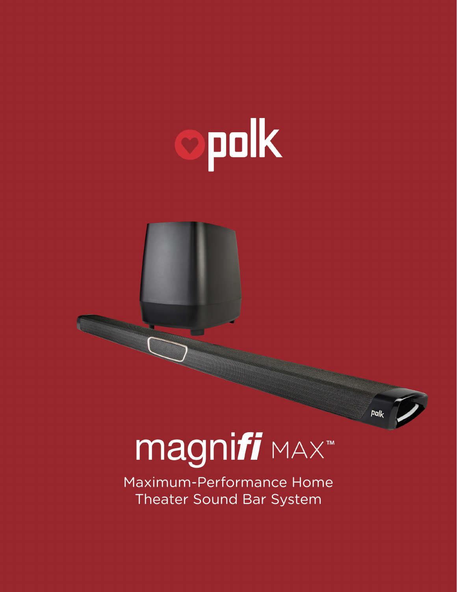# opolk

magnifi MAX

Maximum-Performance Home Theater Sound Bar System

 $Polk$